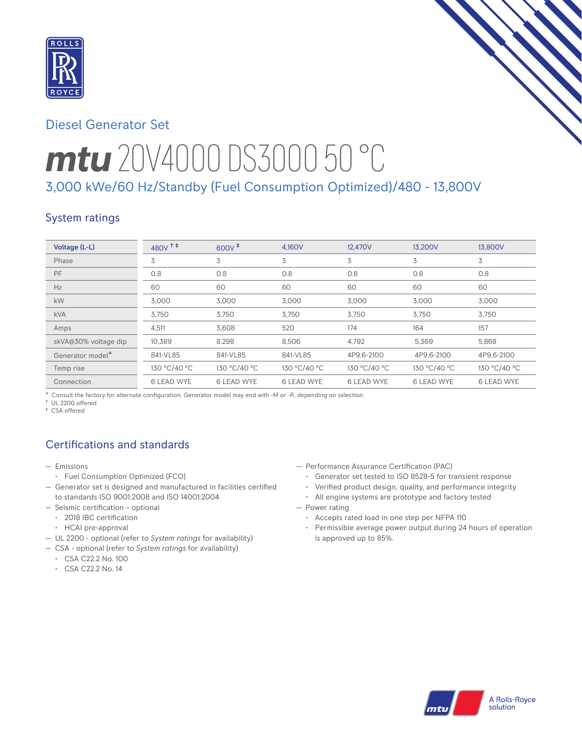

# Diesel Generator Set

# *mtu* 20V4000 DS3000 50 °C 3,000 kWe/60 Hz/Standby (Fuel Consumption Optimized)/480 - 13,800V

## System ratings

| Voltage (L-L)        | $480V$ <sup>++</sup> | $600V^{\ddagger}$ | 4.160V            | 12,470V           | 13.200V           | 13,800V           |
|----------------------|----------------------|-------------------|-------------------|-------------------|-------------------|-------------------|
| Phase                | 3                    | 3                 | 3                 | 3                 | 3                 | 3                 |
| PF                   | 0.8                  | 0.8               | 0.8               | 0.8               | 0.8               | 0.8               |
| Hz                   | 60                   | 60                | 60                | 60                | 60                | 60                |
| kW                   | 3,000                | 3,000             | 3,000             | 3,000             | 3,000             | 3,000             |
| <b>kVA</b>           | 3,750                | 3,750             | 3,750             | 3,750             | 3,750             | 3,750             |
| Amps                 | 4,511                | 3,608             | 520               | 174               | 164               | 157               |
| skVA@30% voltage dip | 10,389               | 8,298             | 8,506             | 4,792             | 5,369             | 5,868             |
| Generator model*     | 841-VL85             | 841-VL85          | 841-VL85          | 4P9.6-2100        | 4P9.6-2100        | 4P9.6-2100        |
| Temp rise            | 130 °C/40 °C         | 130 °C/40 °C      | 130 °C/40 °C      | 130 °C/40 °C      | 130 °C/40 °C      | 130 °C/40 °C      |
| Connection           | <b>6 LEAD WYE</b>    | <b>6 LEAD WYE</b> | <b>6 LEAD WYE</b> | <b>6 LEAD WYE</b> | <b>6 LEAD WYE</b> | <b>6 LEAD WYE</b> |

\* Consult the factory for alternate configuration. Generator model may end with -M or -R, depending on selection.

† UL 2200 offered

‡ CSA offered

# Certifications and standards

- Emissions
	- Fuel Consumption Optimized (FCO)
- Generator set is designed and manufactured in facilities certified to standards ISO 9001:2008 and ISO 14001:2004
- Seismic certification optional
	- 2018 IBC certification
	- HCAI pre-approval
- UL 2200 optional (refer to *System ratings* for availability)
- CSA optional (refer to *System ratings* for availability)
- CSA C22.2 No. 100
- CSA C22.2 No. 14
- Performance Assurance Certification (PAC)
	- Generator set tested to ISO 8528-5 for transient response
	- Verified product design, quality, and performance integrity
	- All engine systems are prototype and factory tested
- Power rating
	- Accepts rated load in one step per NFPA 110
	- Permissible average power output during 24 hours of operation is approved up to 85%.

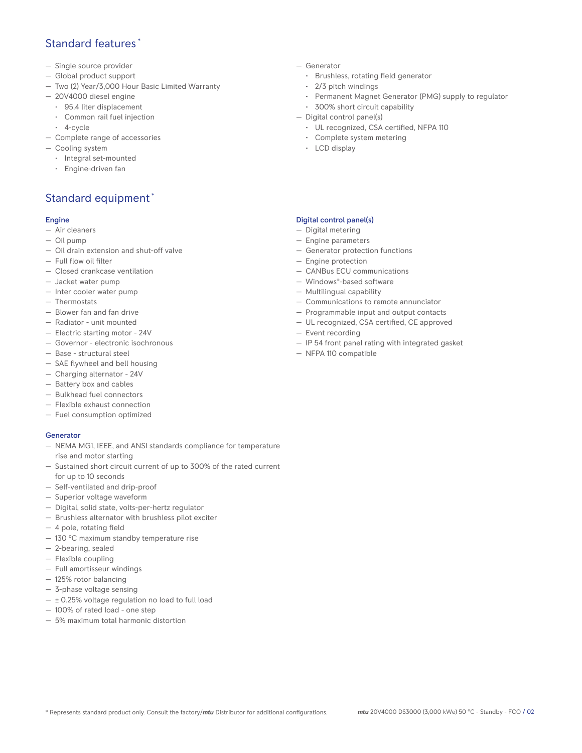### Standard features \*

- Single source provider
- Global product support
- Two (2) Year/3,000 Hour Basic Limited Warranty
- 20V4000 diesel engine
	- 95.4 liter displacement
	- Common rail fuel injection
- 4-cycle
- Complete range of accessories
- Cooling system
	- Integral set-mounted
	- Engine-driven fan

# Standard equipment \*

#### Engine

- Air cleaners
- Oil pump
- Oil drain extension and shut-off valve
- Full flow oil filter
- Closed crankcase ventilation
- Jacket water pump
- Inter cooler water pump
- Thermostats
- Blower fan and fan drive
- Radiator unit mounted
- Electric starting motor 24V
- Governor electronic isochronous
- Base structural steel
- SAE flywheel and bell housing
- Charging alternator 24V
- Battery box and cables
- Bulkhead fuel connectors
- Flexible exhaust connection
- Fuel consumption optimized

#### **Generator**

- NEMA MG1, IEEE, and ANSI standards compliance for temperature rise and motor starting
- Sustained short circuit current of up to 300% of the rated current for up to 10 seconds
- Self-ventilated and drip-proof
- Superior voltage waveform
- Digital, solid state, volts-per-hertz regulator
- Brushless alternator with brushless pilot exciter
- 4 pole, rotating field
- 130 °C maximum standby temperature rise
- 2-bearing, sealed
- Flexible coupling
- Full amortisseur windings
- 125% rotor balancing
- 3-phase voltage sensing
- $\pm$  0.25% voltage regulation no load to full load
- 100% of rated load one step
- 5% maximum total harmonic distortion
- Generator
	- Brushless, rotating field generator
	- 2/3 pitch windings
	- Permanent Magnet Generator (PMG) supply to regulator
- 300% short circuit capability
- Digital control panel(s)
	- UL recognized, CSA certified, NFPA 110
	- Complete system metering
	- LCD display

#### Digital control panel(s)

- Digital metering
- Engine parameters
- Generator protection functions
- Engine protection
- CANBus ECU communications
- Windows®-based software
- Multilingual capability
- Communications to remote annunciator
- Programmable input and output contacts
- UL recognized, CSA certified, CE approved
- Event recording
- IP 54 front panel rating with integrated gasket
- NFPA 110 compatible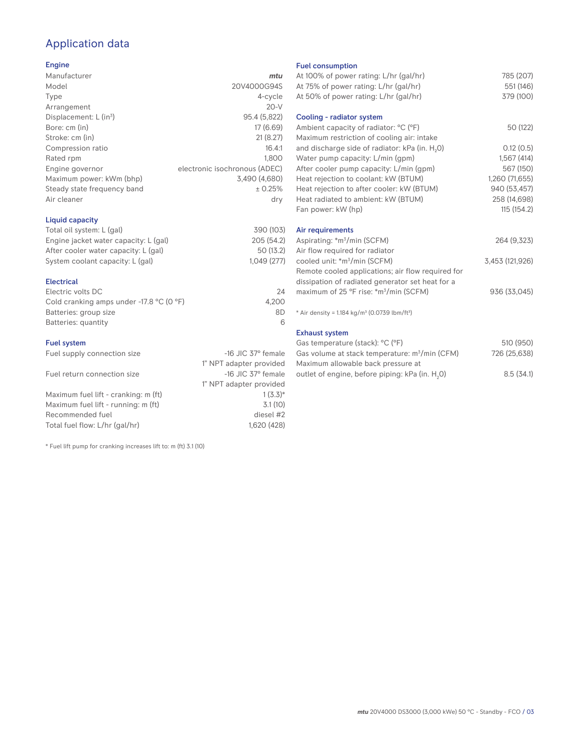# Application data

#### Engine

| Manufacturer                         | mtu                           |
|--------------------------------------|-------------------------------|
| Model                                | 20V4000G94S                   |
| Type                                 | 4-cycle                       |
| Arrangement                          | $20-V$                        |
| Displacement: $L$ (in <sup>3</sup> ) | 95.4 (5,822)                  |
| Bore: cm (in)                        | 17 (6.69)                     |
| Stroke: cm (in)                      | 21(8.27)                      |
| Compression ratio                    | 16.4:1                        |
| Rated rpm                            | 1.800                         |
| Engine governor                      | electronic isochronous (ADEC) |
| Maximum power: kWm (bhp)             | 3,490 (4,680)                 |
| Steady state frequency band          | ± 0.25%                       |
| Air cleaner                          | dry                           |
|                                      |                               |

#### Liquid capacity

| Total oil system: L (gal)             | 390 (103)  |
|---------------------------------------|------------|
| Engine jacket water capacity: L (gal) | 205 (54.2) |
| After cooler water capacity: L (gal)  | 50 (13.2)  |
| System coolant capacity: L (gal)      | 1.049(277) |
|                                       |            |

#### Electrical

| Electric volts DC                                            | 24    |
|--------------------------------------------------------------|-------|
| Cold cranking amps under -17.8 $^{\circ}$ C (O $^{\circ}$ F) | 4.200 |
| Batteries: group size                                        | 8D    |
| Batteries: quantity                                          |       |

#### Fuel system

| Fuel supply connection size          | $-16$ JIC 37 $\degree$ female |
|--------------------------------------|-------------------------------|
|                                      | 1" NPT adapter provided       |
| Fuel return connection size          | $-16$ JIC 37 $\degree$ female |
|                                      | 1" NPT adapter provided       |
| Maximum fuel lift - cranking: m (ft) | $1(3.3)*$                     |
| Maximum fuel lift - running: m (ft)  | 3.1(10)                       |
| Recommended fuel                     | diesel #2                     |
| Total fuel flow: L/hr (gal/hr)       | 1.620 (428)                   |

\* Fuel lift pump for cranking increases lift to: m (ft) 3.1 (10)

#### Fuel consumption

| At 100% of power rating: L/hr (gal/hr)<br>At 75% of power rating: L/hr (gal/hr)     | 785 (207)<br>551 (146) |
|-------------------------------------------------------------------------------------|------------------------|
| At 50% of power rating: L/hr (gal/hr)                                               | 379 (100)              |
| Cooling - radiator system                                                           |                        |
| Ambient capacity of radiator: °C (°F)<br>Maximum restriction of cooling air: intake | 50 (122)               |
| and discharge side of radiator: kPa (in. H <sub>2</sub> O)                          | 0.12(0.5)              |
| Water pump capacity: L/min (gpm)                                                    | 1,567(414)             |
| After cooler pump capacity: L/min (gpm)                                             | 567 (150)              |
| Heat rejection to coolant: kW (BTUM)                                                | 1,260 (71,655)         |
| Heat rejection to after cooler: kW (BTUM)                                           | 940 (53,457)           |
| Heat radiated to ambient: kW (BTUM)                                                 | 258 (14,698)           |
| Fan power: kW (hp)                                                                  | 115(154.2)             |
| Air requirements                                                                    |                        |
| Aspirating: *m <sup>3</sup> /min (SCFM)                                             | 264 (9,323)            |
| Air flow required for radiator                                                      |                        |
| cooled unit: *m <sup>3</sup> /min (SCFM)                                            | 3,453 (121,926)        |
| Remote cooled applications; air flow required for                                   |                        |
| dissipation of radiated generator set heat for a                                    |                        |
| maximum of 25 °F rise: *m <sup>3</sup> /min (SCFM)                                  | 936 (33,045)           |
| * Air density = $1.184 \text{ kg/m}^3$ (0.0739 lbm/ft <sup>3</sup> )                |                        |
| <b>Exhaust system</b>                                                               |                        |
| Gas temperature (stack): °C (°F)                                                    | 510 (950)              |
| Gas volume at stack temperature: m <sup>3</sup> /min (CFM)                          | 726 (25,638)           |

| Gas volume at stack temperature: m <sup>3</sup> /min (CFM)  | 726 (25,638) |
|-------------------------------------------------------------|--------------|
| Maximum allowable back pressure at                          |              |
| outlet of engine, before piping: kPa (in. H <sub>2</sub> 0) | 8.5(34.1)    |